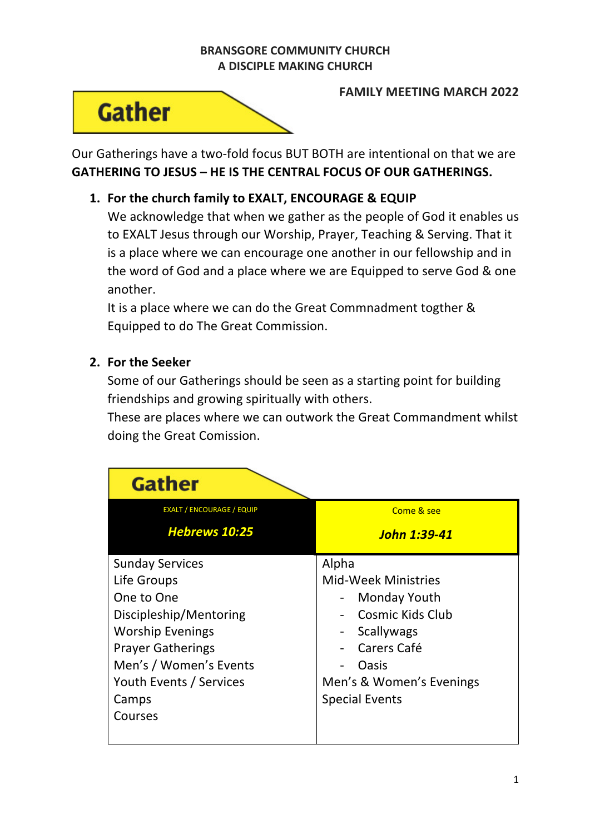## **BRANSGORE COMMUNITY CHURCH A DISCIPLE MAKING CHURCH**



**FAMILY MEETING MARCH 2022**

Our Gatherings have a two-fold focus BUT BOTH are intentional on that we are **GATHERING TO JESUS – HE IS THE CENTRAL FOCUS OF OUR GATHERINGS.**

## **1. For the church family to EXALT, ENCOURAGE & EQUIP**

We acknowledge that when we gather as the people of God it enables us to EXALT Jesus through our Worship, Prayer, Teaching & Serving. That it is a place where we can encourage one another in our fellowship and in the word of God and a place where we are Equipped to serve God & one another.

It is a place where we can do the Great Commnadment togther & Equipped to do The Great Commission.

## **2. For the Seeker**

Some of our Gatherings should be seen as a starting point for building friendships and growing spiritually with others.

These are places where we can outwork the Great Commandment whilst doing the Great Comission.

| <b>Gather</b>                    |                            |
|----------------------------------|----------------------------|
| <b>EXALT / ENCOURAGE / EQUIP</b> | Come & see                 |
| <b>Hebrews 10:25</b>             | John 1:39-41               |
| <b>Sunday Services</b>           | Alpha                      |
| Life Groups                      | <b>Mid-Week Ministries</b> |
| One to One                       | <b>Monday Youth</b>        |
| Discipleship/Mentoring           | Cosmic Kids Club           |
| <b>Worship Evenings</b>          | Scallywags                 |
| <b>Prayer Gatherings</b>         | Carers Café                |
| Men's / Women's Events           | Oasis                      |
| Youth Events / Services          | Men's & Women's Evenings   |
| Camps                            | <b>Special Events</b>      |
| Courses                          |                            |
|                                  |                            |